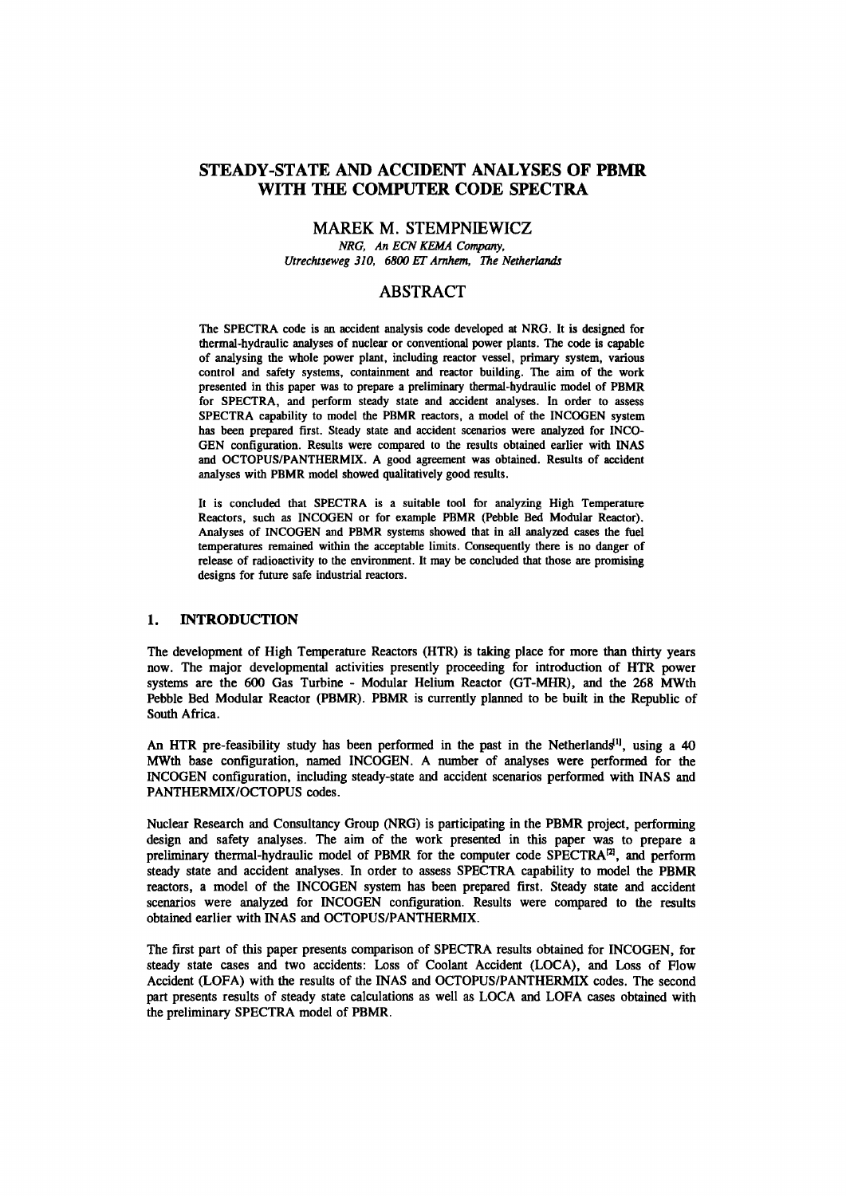# **STEADY-STATE AND ACCIDENT ANALYSES OF PBMR WITH THE COMPUTER CODE SPECTRA**

## **MAREK M. STEMPNIEWICZ**

*NRG, An ECNKEMA Company, Utrechtseweg 310, 6800 ET Arnhem, The Netherlands* 

## **ABSTRACT**

The SPECTRA code is an accident analysis code developed at NRG. It is designed for thermal-hydraulic analyses of nuclear or conventional power plants. The code is capable of analysing the whole power plant, including reactor vessel, primary system, various control and safety systems, containment and reactor building. The aim of the work presented in this paper was to prepare a preliminary thermal-hydraulic model of PBMR for SPECTRA, and perform steady state and accident analyses. In order to assess SPECTRA capability to model the PBMR reactors, a model of the INCOGEN system has been prepared first. Steady state and accident scenarios were analyzed for INCO-GEN configuration. Results were compared to the results obtained earlier with INAS and OCTOPUS/PANTHERMIX. A good agreement was obtained. Results of accident analyses with PBMR model showed qualitatively good results.

It is concluded that SPECTRA is a suitable tool for analyzing High Temperature Reactors, such as INCOGEN or for example PBMR (Pebble Bed Modular Reactor). Analyses of INCOGEN and PBMR systems showed that in all analyzed cases the fuel temperatures remained within the acceptable limits. Consequently there is no danger of release of radioactivity to the environment. It may be concluded that those are promising designs for future safe industrial reactors.

#### **1. INTRODUCTION**

The development of High Temperature Reactors (HTR) is taking place for more than thirty years now. The major developmental activities presently proceeding for introduction of HTR power systems are the 600 Gas Turbine - Modular Helium Reactor (GT-MHR), and the 268 MWth Pebble Bed Modular Reactor (PBMR). PBMR is currently planned to be built in the Republic of South Africa.

An HTR pre-feasibility study has been performed in the past in the Netherlands<sup>11</sup>, using a 40 MWth base configuration, named INCOGEN. A number of analyses were performed for the INCOGEN configuration, including steady-state and accident scenarios performed with INAS and PANTHERMIX/OCTOPUS codes.

Nuclear Research and Consultancy Group (NRG) is participating in the PBMR project, performing design and safety analyses. The aim of the work presented in this paper was to prepare a preliminary thermal-hydraulic model of PBMR for the computer code  $SPECTRA^{12}$ , and perform steady state and accident analyses. In order to assess SPECTRA capability to model the PBMR reactors, a model of the INCOGEN system has been prepared first. Steady state and accident scenarios were analyzed for INCOGEN configuration. Results were compared to the results obtained earlier with INAS and OCTOPUS/PANTHERMIX.

The first part of this paper presents comparison of SPECTRA results obtained for INCOGEN, for steady state cases and two accidents: Loss of Coolant Accident (LOCA), and Loss of Flow Accident (LOFA) with the results of the INAS and OCTOPUS/PANTHERMIX codes. The second part presents results of steady state calculations as well as LOCA and LOFA cases obtained with the preliminary SPECTRA model of PBMR.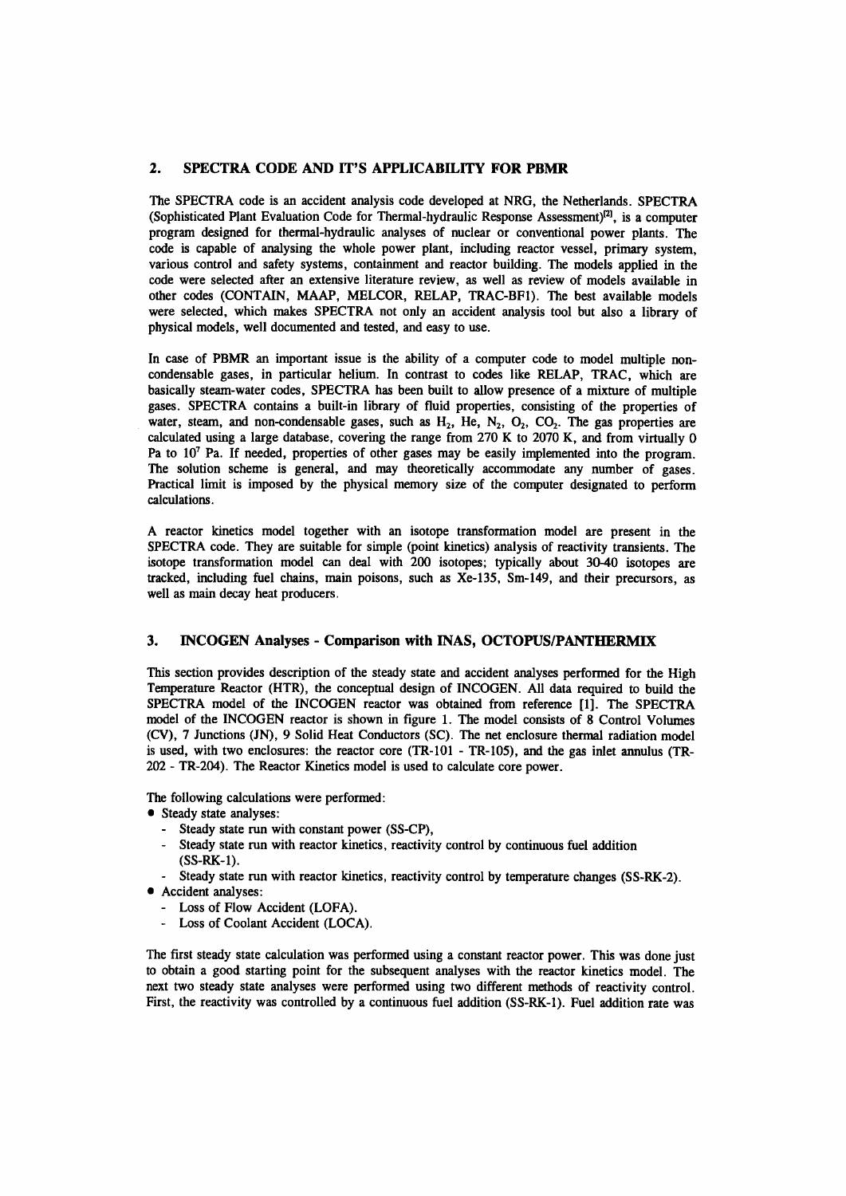## **2. SPECTRA CODE AND IT'S APPLICABILITY FOR PBMR**

The SPECTRA code is an accident analysis code developed at NRG, the Netherlands. SPECTRA (Sophisticated Plant Evaluation Code for Thermal-hydraulic Response Assessment)<sup>[2]</sup>, is a computer program designed for thermal-hydraulic analyses of nuclear or conventional power plants. The code is capable of analysing the whole power plant, including reactor vessel, primary system, various control and safety systems, containment and reactor building. The models applied in the code were selected after an extensive literature review, as well as review of models available in other codes (CONTAIN, MAAP, MELCOR, RELAP, TRAC-BF1). The best available models were selected, which makes SPECTRA not only an accident analysis tool but also a library of physical models, well documented and tested, and easy to use.

In case of PBMR an important issue is the ability of a computer code to model multiple noncondensable gases, in particular helium. In contrast to codes like RELAP, TRAC, which are basically steam-water codes, SPECTRA has been built to allow presence of a mixture of multiple gases. SPECTRA contains a built-in library of fluid properties, consisting of the properties of water, steam, and non-condensable gases, such as  $H_2$ , He,  $N_2$ ,  $O_2$ ,  $CO_2$ . The gas properties are calculated using a large database, covering the range from 270 K to 2070 K, and from virtually 0 Pa to  $10<sup>7</sup>$  Pa. If needed, properties of other gases may be easily implemented into the program. The solution scheme is general, and may theoretically accommodate any number of gases. Practical limit is imposed by the physical memory size of the computer designated to perform calculations.

A reactor kinetics model together with an isotope transformation model are present in the SPECTRA code. They are suitable for simple (point kinetics) analysis of reactivity transients. The isotope transformation model can deal with 200 isotopes; typically about 30-40 isotopes are tracked, including fuel chains, main poisons, such as Xe-135, Sm-149, and their precursors, as well as main decay heat producers.

### **3. INCOGEN Analyses - Comparison with INAS, OCTOPUS/PANTHERMIX**

This section provides description of the steady state and accident analyses performed for the High Temperature Reactor (HTR), the conceptual design of INCOGEN. All data required to build the SPECTRA model of the INCOGEN reactor was obtained from reference [1]. The SPECTRA model of the INCOGEN reactor is shown in figure 1. The model consists of 8 Control Volumes (CV), 7 Junctions (JN), 9 Solid Heat Conductors (SC). The net enclosure thermal radiation model is used, with two enclosures: the reactor core (TR-101 - TR-105), and the gas inlet annulus (TR-202 - TR-204). The Reactor Kinetics model is used to calculate core power.

The following calculations were performed:

- Steady state analyses:
	- Steady state run with constant power (SS-CP),
	- Steady state run with reactor kinetics, reactivity control by continuous fuel addition (SS-RK-1).
	- Steady state run with reactor kinetics, reactivity control by temperature changes (SS-RK-2).
- Accident analyses:
	- Loss of Flow Accident (LOFA).
	- Loss of Coolant Accident (LOCA).

The first steady state calculation was performed using a constant reactor power. This was done just to obtain a good starting point for the subsequent analyses with the reactor kinetics model. The next two steady state analyses were performed using two different methods of reactivity control. First, the reactivity was controlled by a continuous fuel addition (SS-RK-1). Fuel addition rate was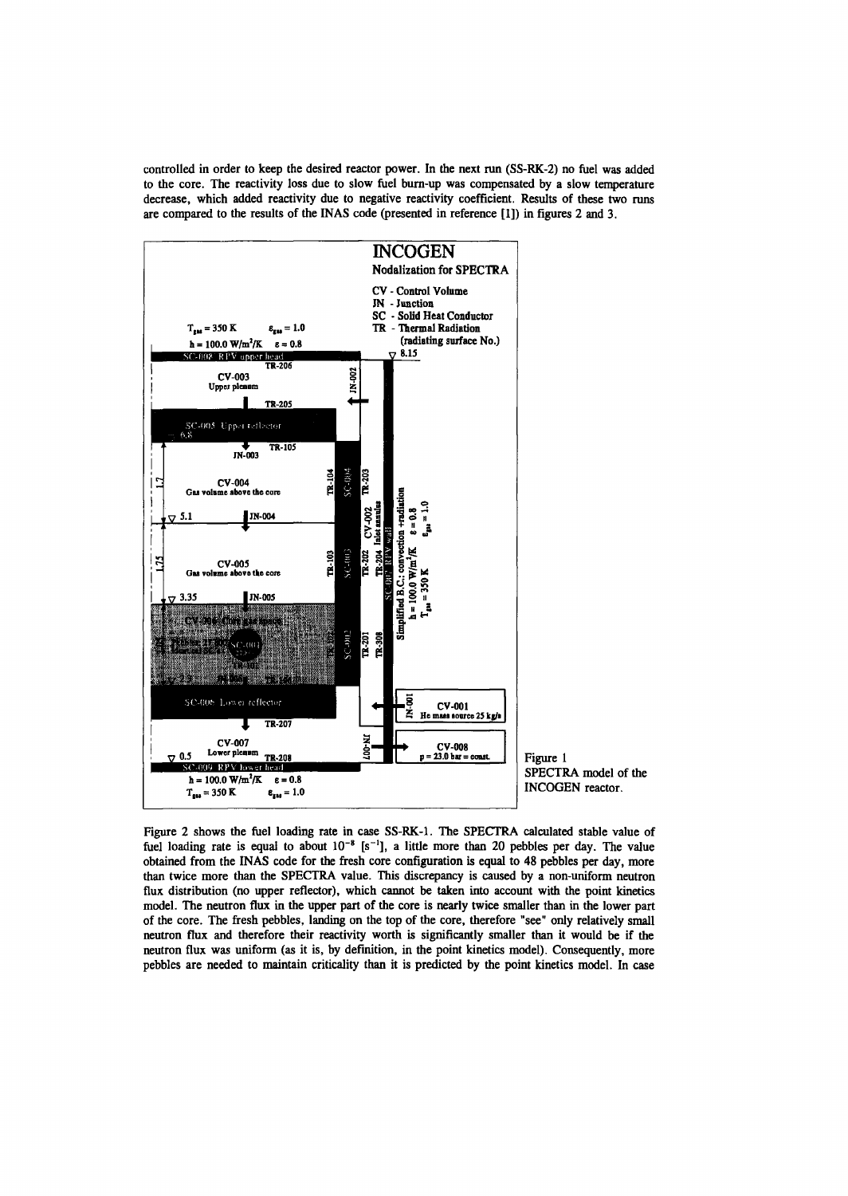controlled in order to keep the desired reactor power. In the next run (SS-RK-2) no fuel was added to the core. The reactivity loss due to slow fuel burn-up was compensated by a slow temperature decrease, which added reactivity due to negative reactivity coefficient. Results of these two runs are compared to the results of the INAS code (presented in reference [1]) in figures 2 and 3.



Figure 2 shows the fuel loading rate in case SS-RK-1. The SPECTRA calculated stable value of fuel loading rate is equal to about  $10^{-8}$  [s<sup>-1</sup>], a little more than 20 pebbles per day. The value obtained from the INAS code for the fresh core configuration is equal to 48 pebbles per day, more than twice more than the SPECTRA value. This discrepancy is caused by a non-uniform neutron flux distribution (no upper reflector), which cannot be taken into account with the point kinetics model. The neutron flux in the upper part of the core is nearly twice smaller than in the lower part of the core. The fresh pebbles, landing on the top of the core, therefore "see" only relatively small neutron flux and therefore their reactivity worth is significantly smaller than it would be if the neutron flux was uniform (as it is, by definition, in the point kinetics model). Consequently, more pebbles are needed to maintain criticality than it is predicted by the point kinetics model. In case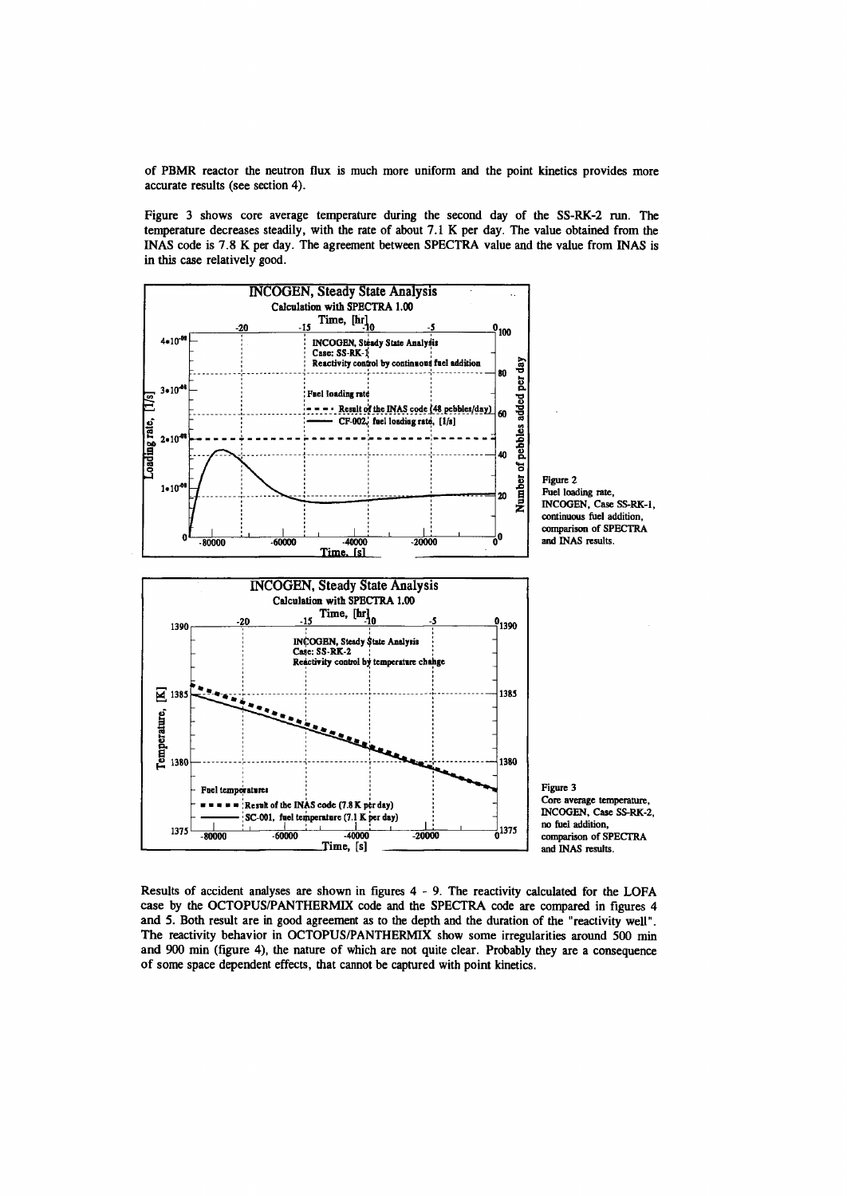of PBMR reactor the neutron flux is much more uniform and the point kinetics provides more accurate results (see section 4).

Figure 3 shows core average temperature during the second day of the SS-RK-2 run. The temperature decreases steadily, with the rate of about 7.1 K per day. The value obtained from the INAS code is 7.8 K per day. The agreement between SPECTRA value and the value from INAS is in this case relatively good.



Results of accident analyses are shown in figures 4-9 . The reactivity calculated for the LOFA case by the OCTOPUS/PANTHERMIX code and the SPECTRA code are compared in figures 4 and 5. Both result are in good agreement as to the depth and the duration of the "reactivity well". The reactivity behavior in OCTOPUS/PANTHERMIX show some irregularities around 500 min and 900 min (figure 4), the nature of which are not quite clear. Probably they are a consequence of some space dependent effects, that cannot be captured with point kinetics.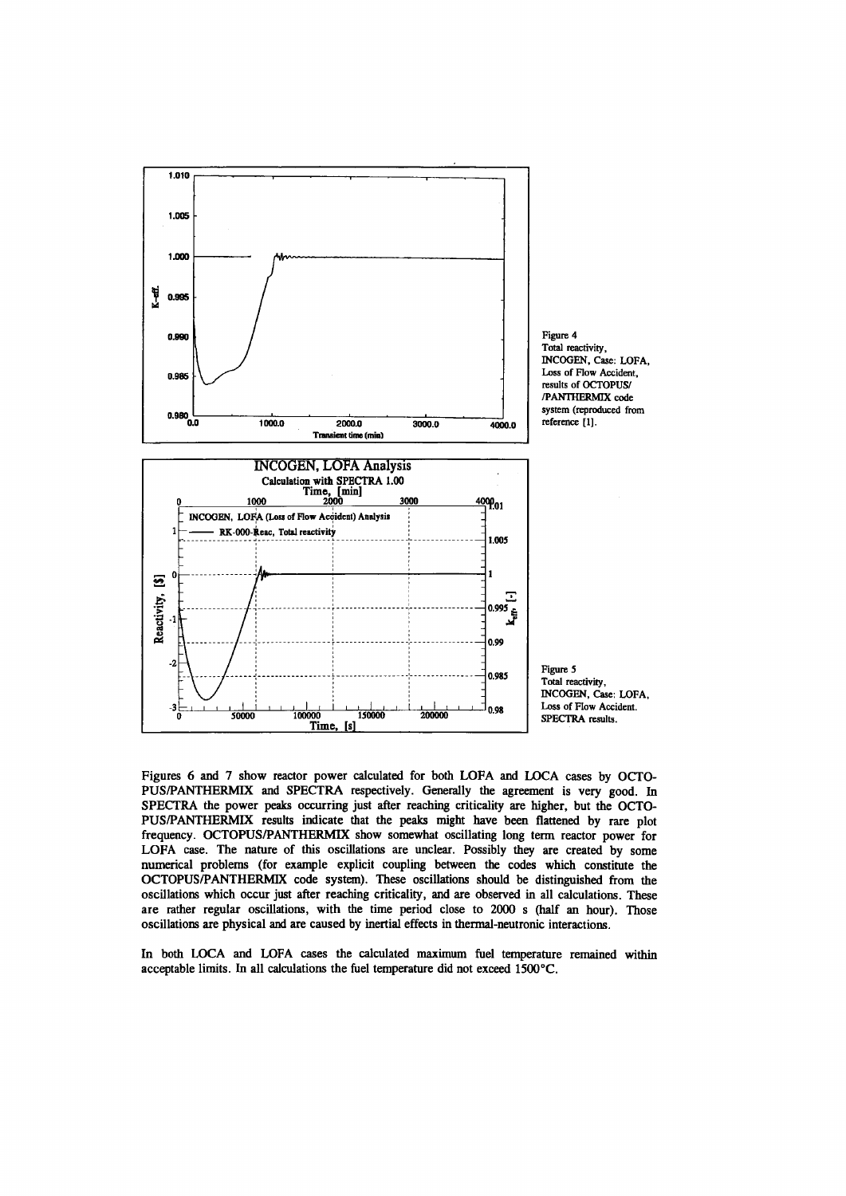

Figures 6 and 7 show reactor power calculated for both LOFA and LOCA cases by OCTO-PUS/PANTHERMIX and SPECTRA respectively. Generally the agreement is very good. In SPECTRA the power peaks occurring just after reaching criticality are higher, but the OCTO-PUS/PANTHERMIX results indicate that the peaks might have been flattened by rare plot frequency. OCTOPUS/PANTHERMIX show somewhat oscillating long term reactor power for LOFA case. The nature of this oscillations are unclear. Possibly they are created by some numerical problems (for example explicit coupling between the codes which constitute the OCTOPUS/PANTHERMIX code system). These oscillations should be distinguished from the oscillations which occur just after reaching criticality, and are observed in all calculations. These are rather regular oscillations, with the time period close to 2000 s (half an hour). Those oscillations are physical and are caused by inertial effects in thermal-neutronic interactions.

In both LOCA and LOFA cases the calculated maximum fuel temperature remained within acceptable limits. In all calculations the fuel temperature did not exceed 1500°C.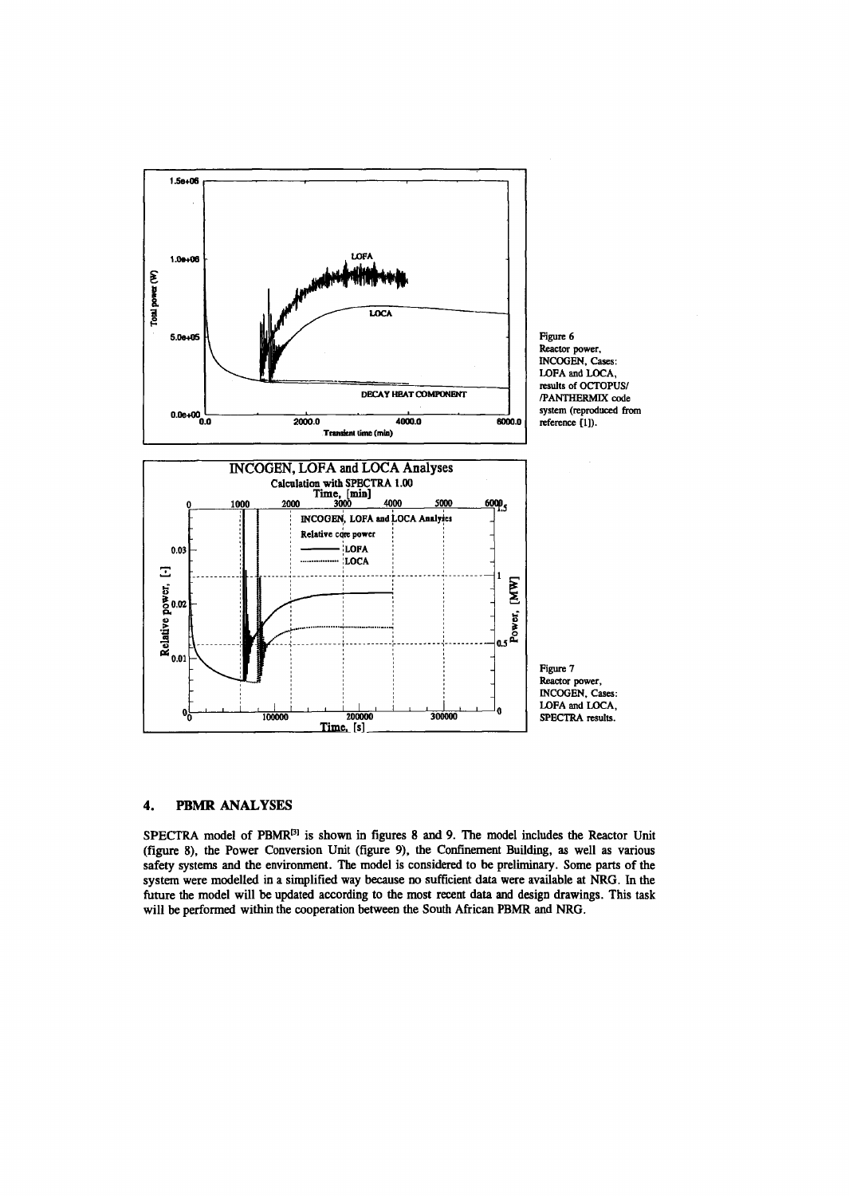

#### **PBMR ANALYSES** 4.

SPECTRA model of PBMR<sup>[3]</sup> is shown in figures 8 and 9. The model includes the Reactor Unit (figure 8), the Power Conversion Unit (figure 9), the Confinement Building, as well as various safety systems and the environment. The model is considered to be preliminary. Some parts of the system were modelled in a simplified way because no sufficient data were available at NRG. In the future the model will be updated according to the most recent data and design drawings. This task will be performed within the cooperation between the South African PBMR and NRG.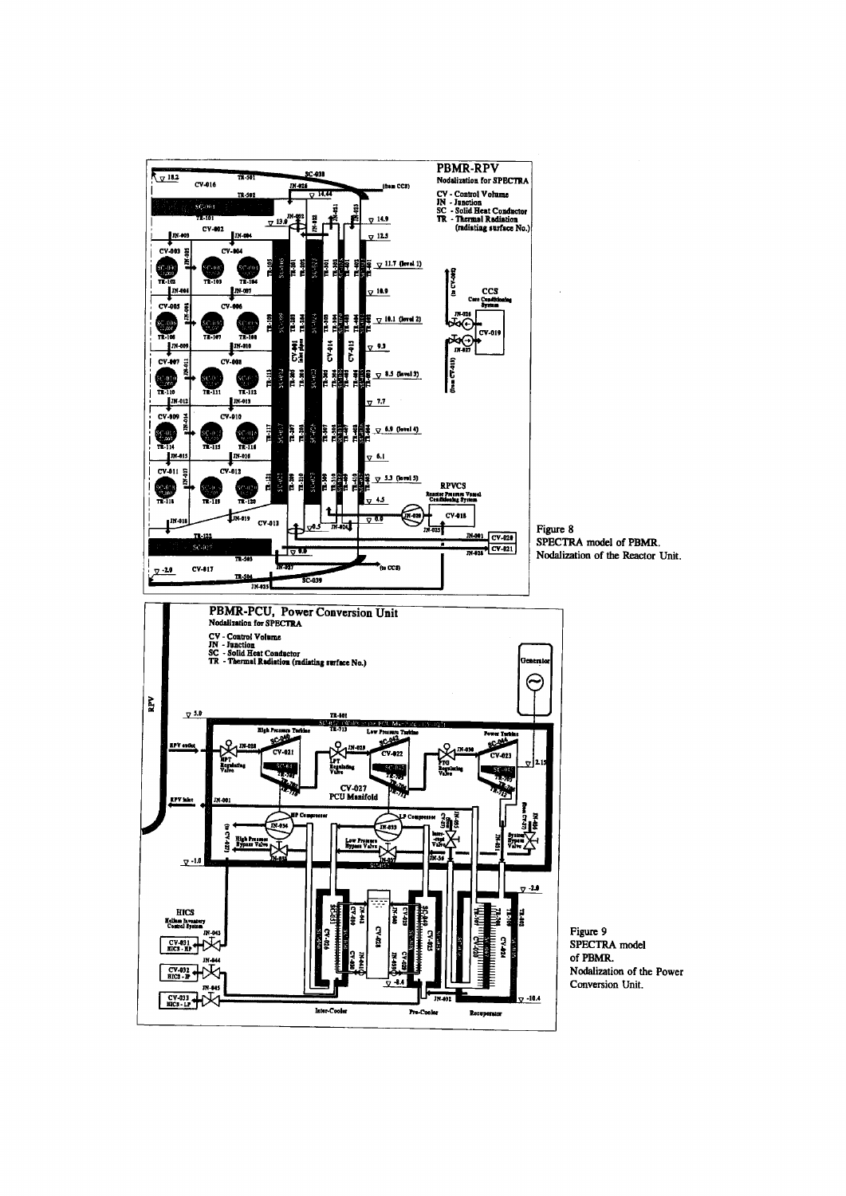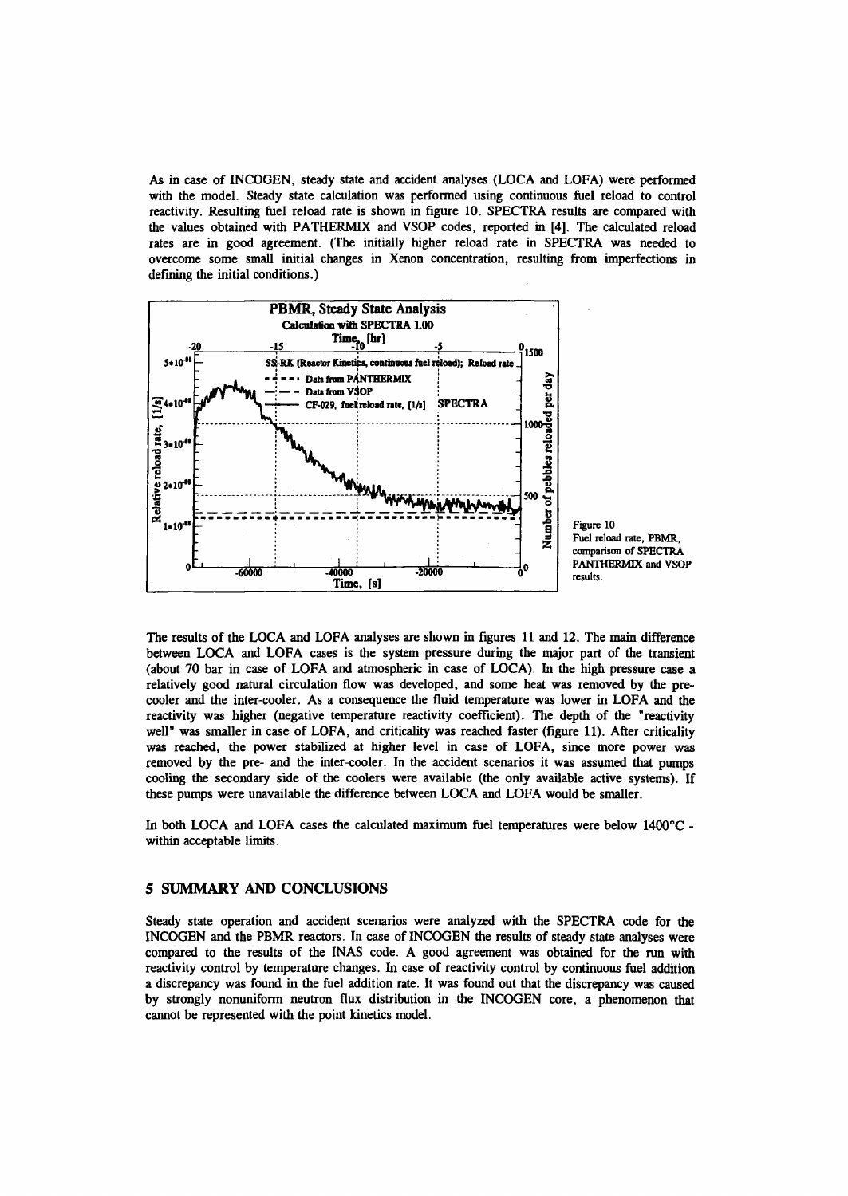As in case of INCOGEN, steady state and accident analyses (LOCA and LOFA) were performed with the model. Steady state calculation was performed using continuous fuel reload to control reactivity. Resulting fuel reload rate is shown in figure 10. SPECTRA results are compared with the values obtained with PATHERMIX and VSOP codes, reported in [4]. The calculated reload rates are in good agreement. (The initially higher reload rate in SPECTRA was needed to overcome some small initial changes in Xenon concentration, resulting from imperfections in defining the initial conditions.)



The results of the LOCA and LOFA analyses are shown in figures 11 and 12. The main difference between LOCA and LOFA cases is the system pressure during the major part of the transient (about 70 bar in case of LOFA and atmospheric in case of LOCA). In the high pressure case a relatively good natural circulation flow was developed, and some heat was removed by the precooler and the inter-cooler. As a consequence the fluid temperature was lower in LOFA and the reactivity was higher (negative temperature reactivity coefficient). The depth of the "reactivity well" was smaller in case of LOFA, and criticality was reached faster (figure 11). After criticality was reached, the power stabilized at higher level in case of LOFA, since more power was removed by the pre- and the inter-cooler. In the accident scenarios it was assumed that pumps cooling the secondary side of the coolers were available (the only available active systems). If these pumps were unavailable the difference between LOCA and LOFA would be smaller.

In both LOCA and LOFA cases the calculated maximum fuel temperatures were below 1400°C within acceptable limits.

#### **5 SUMMARY AND CONCLUSIONS**

Steady state operation and accident scenarios were analyzed with the SPECTRA code for the INCOGEN and the PBMR reactors. In case of INCOGEN the results of steady state analyses were compared to the results of the INAS code. A good agreement was obtained for the run with reactivity control by temperature changes. In case of reactivity control by continuous fuel addition a discrepancy was found in the fuel addition rate. It was found out that the discrepancy was caused by strongly nonuniform neutron flux distribution in the INCOGEN core, a phenomenon that cannot be represented with the point kinetics model.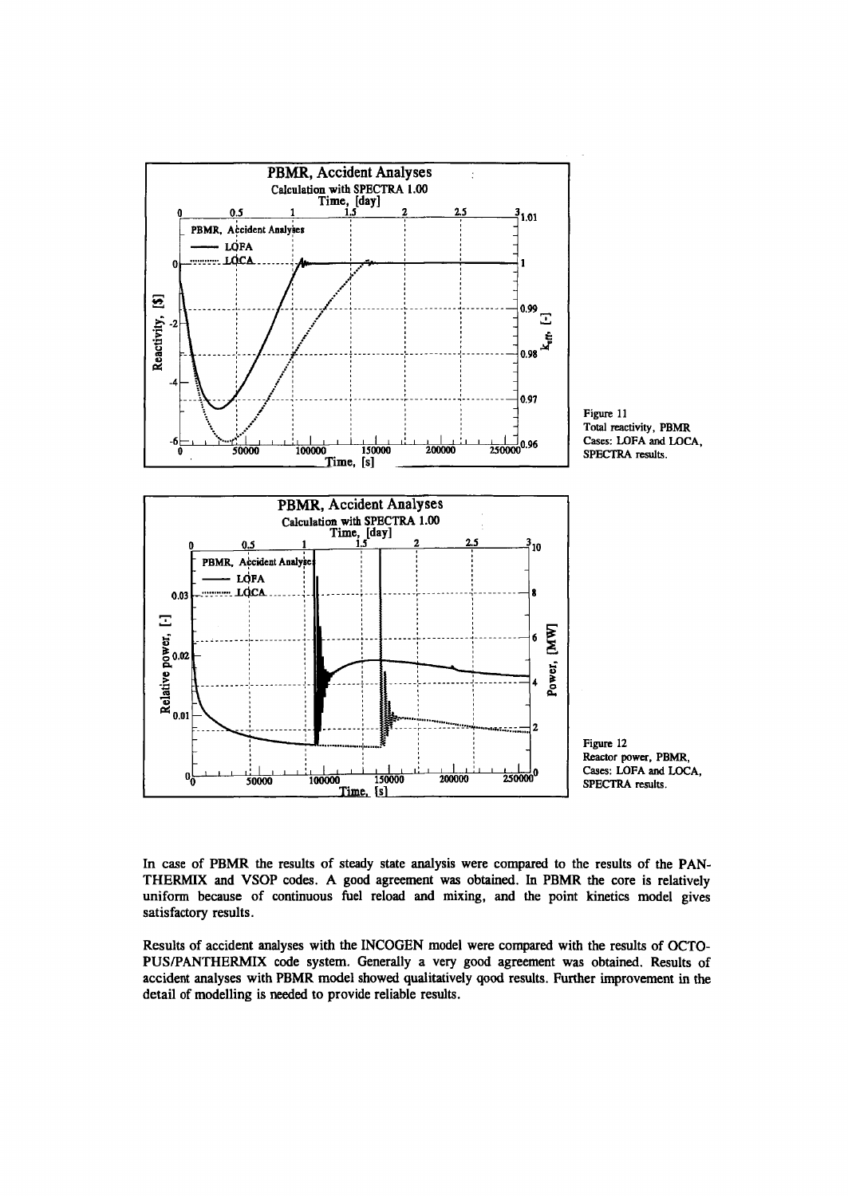

In case of PBMR the results of steady state analysis were compared to the results of the PAN-THERMIX and VSOP codes. A good agreement was obtained. In PBMR the core is relatively uniform because of continuous fuel reload and mixing, and the point kinetics model gives satisfactory results.

Results of accident analyses with the INCOGEN model were compared with the results of OCTO-PUS/PANTHERMIX code system. Generally a very good agreement was obtained. Results of accident analyses with PBMR model showed qualitatively qood results. Further improvement in the detail of modelling is needed to provide reliable results.